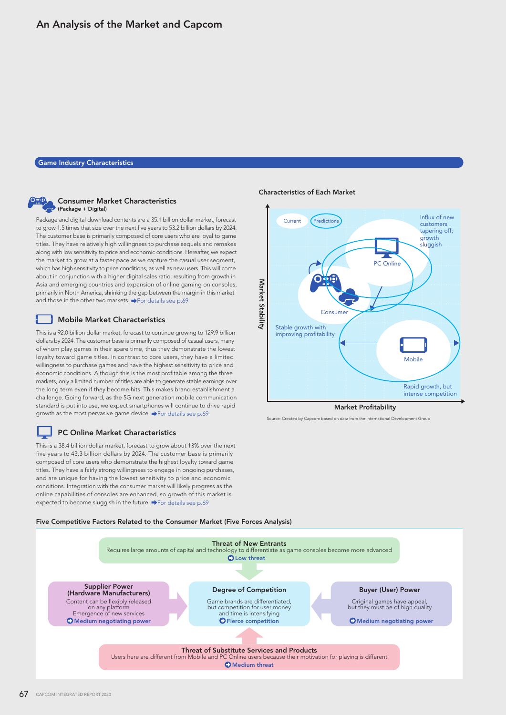## Game Industry Characteristics



H

### Consumer Market Characteristics (Package + Digital)

Package and digital download contents are a 35.1 billion dollar market, forecast to grow 1.5 times that size over the next five years to 53.2 billion dollars by 2024. The customer base is primarily composed of core users who are loyal to game titles. They have relatively high willingness to purchase sequels and remakes along with low sensitivity to price and economic conditions. Hereafter, we expect the market to grow at a faster pace as we capture the casual user segment, which has high sensitivity to price conditions, as well as new users. This will come about in conjunction with a higher digital sales ratio, resulting from growth in Asia and emerging countries and expansion of online gaming on consoles, primarily in North America, shrinking the gap between the margin in this market and those in the other two markets.  $\rightarrow$  For details see p.69

## **Mobile Market Characteristics**

This is a 92.0 billion dollar market, forecast to continue growing to 129.9 billion dollars by 2024. The customer base is primarily composed of casual users, many of whom play games in their spare time, thus they demonstrate the lowest loyalty toward game titles. In contrast to core users, they have a limited willingness to purchase games and have the highest sensitivity to price and economic conditions. Although this is the most profitable among the three markets, only a limited number of titles are able to generate stable earnings over the long term even if they become hits. This makes brand establishment a challenge. Going forward, as the 5G next generation mobile communication standard is put into use, we expect smartphones will continue to drive rapid growth as the most pervasive game device.  $\blacktriangleright$  For details see p.69

## PC Online Market Characteristics

expected to become sluggish in the future.  $\blacktriangleright$  For details see p.69 This is a 38.4 billion dollar market, forecast to grow about 13% over the next five years to 43.3 billion dollars by 2024. The customer base is primarily composed of core users who demonstrate the highest loyalty toward game titles. They have a fairly strong willingness to engage in ongoing purchases, and are unique for having the lowest sensitivity to price and economic conditions. Integration with the consumer market will likely progress as the online capabilities of consoles are enhanced, so growth of this market is

### Characteristics of Each Market



urce: Created by Capcom based on data from the International Development Group

#### Five Competitive Factors Related to the Consumer Market (Five Forces Analysis)